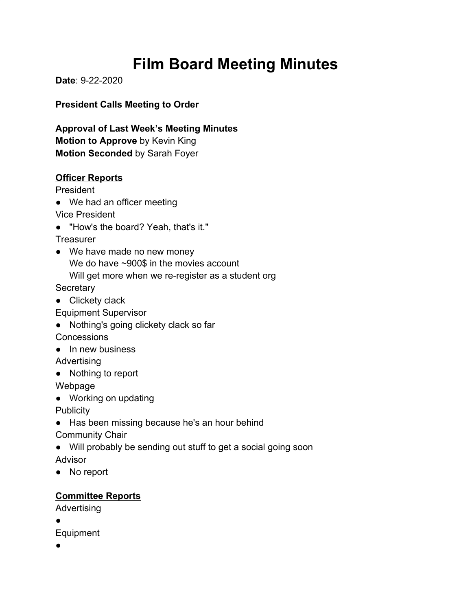# **Film Board Meeting Minutes**

**Date**: 9-22-2020

**President Calls Meeting to Order**

**Approval of Last Week's Meeting Minutes Motion to Approve** by Kevin King **Motion Seconded** by Sarah Foyer

## **Officer Reports**

President

• We had an officer meeting

Vice President

● "How's the board? Yeah, that's it."

**Treasurer** 

• We have made no new money We do have ~900\$ in the movies account Will get more when we re-register as a student org

**Secretary** 

● Clickety clack

Equipment Supervisor

- Nothing's going clickety clack so far **Concessions**
- In new business

Advertising

● Nothing to report

Webpage

● Working on updating

**Publicity** 

● Has been missing because he's an hour behind

Community Chair

- Will probably be sending out stuff to get a social going soon Advisor
- No report

## **Committee Reports**

Advertising

●

Equipment

●